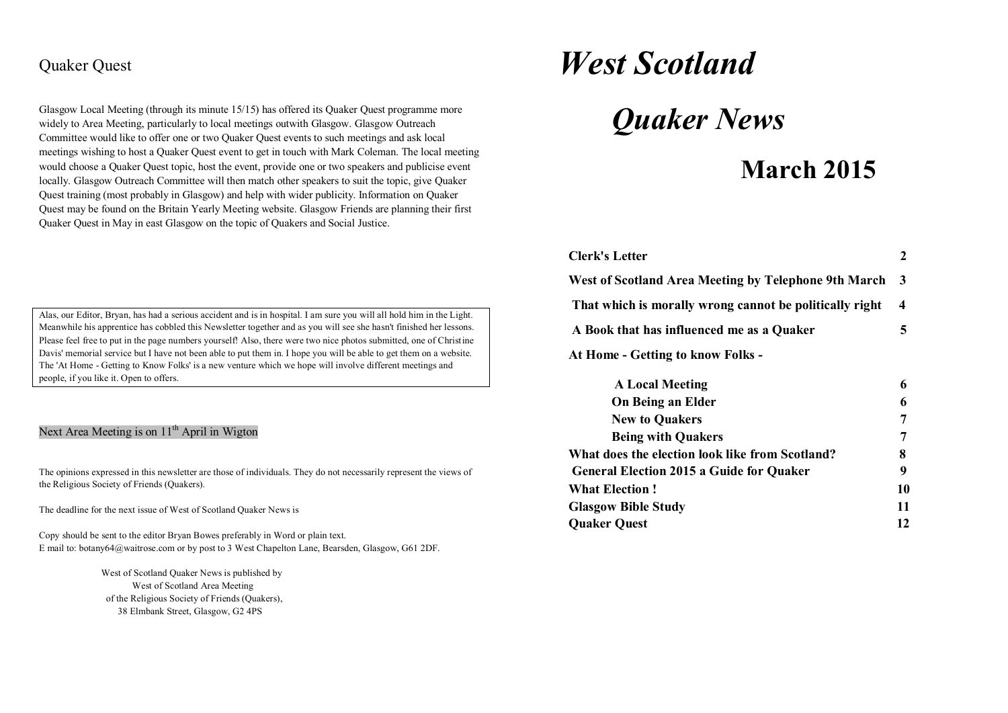## Quaker Quest

Glasgow Local Meeting (through its minute 15/15) has offered its Quaker Quest programme more widely to Area Meeting, particularly to local meetings outwith Glasgow. Glasgow Outreach Committee would like to offer one or two Quaker Quest events to such meetings and ask local meetings wishing to host a Quaker Quest event to get in touch with Mark Coleman. The local meeting would choose a Quaker Quest topic, host the event, provide one or two speakers and publicise event locally. Glasgow Outreach Committee will then match other speakers to suit the topic, give Quaker Quest training (most probably in Glasgow) and help with wider publicity. Information on Quaker Quest may be found on the Britain Yearly Meeting website. Glasgow Friends are planning their first Quaker Quest in May in east Glasgow on the topic of Quakers and Social Justice.

Alas, our Editor, Bryan, has had a serious accident and is in hospital. I am sure you will all hold him in the Light. Meanwhile his apprentice has cobbled this Newsletter together and as you will see she hasn't finished her lessons. Please feel free to put in the page numbers yourself! Also, there were two nice photos submitted, one of Christine Davis' memorial service but I have not been able to put them in. I hope you will be able to get them on a website. The 'At Home - Getting to Know Folks' is a new venture which we hope will involve different meetings and people, if you like it. Open to offers.

#### Next Area Meeting is on  $11<sup>th</sup>$  April in Wigton

The opinions expressed in this newsletter are those of individuals. They do not necessarily represent the views of the Religious Society of Friends (Quakers).

The deadline for the next issue of West of Scotland Quaker News is

Copy should be sent to the editor Bryan Bowes preferably in Word or plain text. E mail to: botany64@waitrose.com or by post to 3 West Chapelton Lane, Bearsden, Glasgow, G61 2DF.

> West of Scotland Quaker News is published by West of Scotland Area Meeting of the Religious Society of Friends (Quakers), 38 Elmbank Street, Glasgow, G2 4PS

# *West Scotland*

*Quaker News*

# **March 2015**

| <b>Clerk's Letter</b>                                   |    |
|---------------------------------------------------------|----|
| West of Scotland Area Meeting by Telephone 9th March    | -3 |
| That which is morally wrong cannot be politically right | 4  |
| A Book that has influenced me as a Quaker               | 5  |
| At Home - Getting to know Folks -                       |    |
|                                                         |    |

| <b>A Local Meeting</b>                          | 6  |
|-------------------------------------------------|----|
| <b>On Being an Elder</b>                        | 6  |
| <b>New to Quakers</b>                           | 7  |
| <b>Being with Quakers</b>                       | 7  |
| What does the election look like from Scotland? | 8  |
| <b>General Election 2015 a Guide for Quaker</b> | 9  |
| <b>What Election!</b>                           | 10 |
| <b>Glasgow Bible Study</b>                      | 11 |
| <b>Quaker Quest</b>                             | 12 |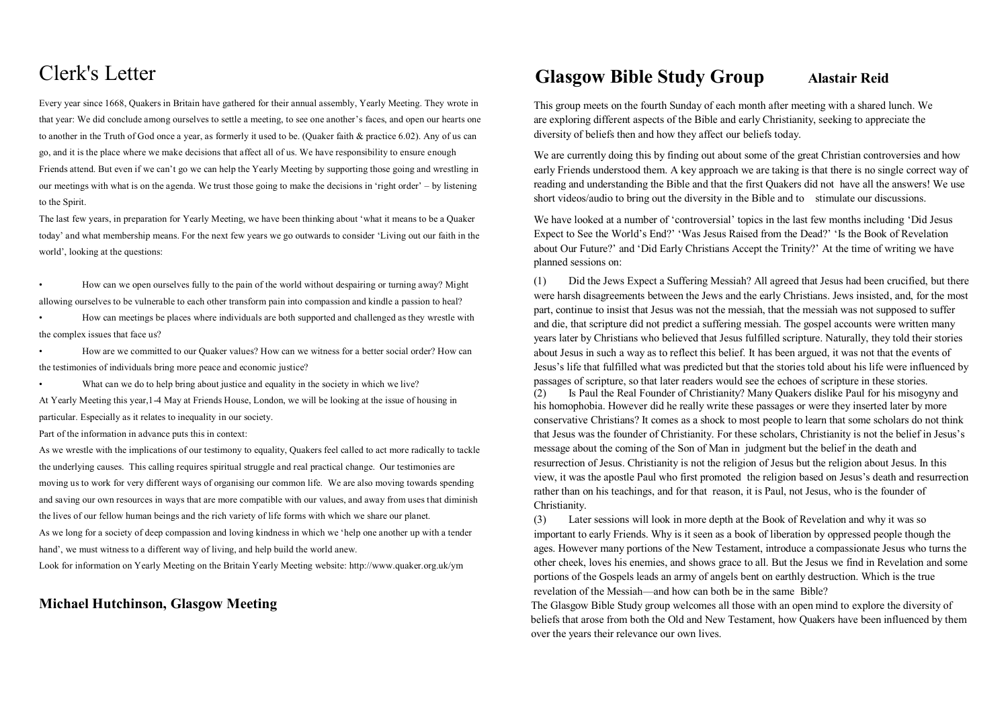# Clerk's Letter

Every year since 1668, Quakers in Britain have gathered for their annual assembly, Yearly Meeting. They wrote in that year: We did conclude among ourselves to settle a meeting, to see one another's faces, and open our hearts one to another in the Truth of God once a year, as formerly it used to be. (Quaker faith & practice 6.02). Any of us can go, and it is the place where we make decisions that affect all of us. We have responsibility to ensure enough Friends attend. But even if we can't go we can help the Yearly Meeting by supporting those going and wrestling in our meetings with what is on the agenda. We trust those going to make the decisions in 'right order' – by listening to the Spirit.

The last few years, in preparation for Yearly Meeting, we have been thinking about 'what it means to be a Quaker today' and what membership means. For the next few years we go outwards to consider 'Living out our faith in the world', looking at the questions:

• How can we open ourselves fully to the pain of the world without despairing or turning away? Might allowing ourselves to be vulnerable to each other transform pain into compassion and kindle a passion to heal?

• How can meetings be places where individuals are both supported and challenged as they wrestle with the complex issues that face us?

• How are we committed to our Quaker values? How can we witness for a better social order? How can the testimonies of individuals bring more peace and economic justice?

What can we do to help bring about justice and equality in the society in which we live?

At Yearly Meeting this year,1-4 May at Friends House, London, we will be looking at the issue of housing in particular. Especially as it relates to inequality in our society.

Part of the information in advance puts this in context:

As we wrestle with the implications of our testimony to equality, Quakers feel called to act more radically to tackle the underlying causes. This calling requires spiritual struggle and real practical change. Our testimonies are moving us to work for very different ways of organising our common life. We are also moving towards spending and saving our own resources in ways that are more compatible with our values, and away from uses that diminish the lives of our fellow human beings and the rich variety of life forms with which we share our planet. As we long for a society of deep compassion and loving kindness in which we 'help one another up with a tender hand', we must witness to a different way of living, and help build the world anew.

Look for information on Yearly Meeting on the Britain Yearly Meeting website: http://www.quaker.org.uk/ym

#### **Michael Hutchinson, Glasgow Meeting**

# **Glasgow Bible Study Group Alastair Reid**

 This group meets on the fourth Sunday of each month after meeting with a shared lunch. We are exploring different aspects of the Bible and early Christianity, seeking to appreciate the diversity of beliefs then and how they affect our beliefs today.

We are currently doing this by finding out about some of the great Christian controversies and how early Friends understood them. A key approach we are taking is that there is no single correct way of reading and understanding the Bible and that the first Quakers did not have all the answers! We use short videos/audio to bring out the diversity in the Bible and to stimulate our discussions.

We have looked at a number of 'controversial' topics in the last few months including 'Did Jesus Expect to See the World's End?' 'Was Jesus Raised from the Dead?' 'Is the Book of Revelation about Our Future?' and 'Did Early Christians Accept the Trinity?' At the time of writing we have planned sessions on:

 (1) Did the Jews Expect a Suffering Messiah? All agreed that Jesus had been crucified, but there were harsh disagreements between the Jews and the early Christians. Jews insisted, and, for the most part, continue to insist that Jesus was not the messiah, that the messiah was not supposed to suffer and die, that scripture did not predict a suffering messiah. The gospel accounts were written many years later by Christians who believed that Jesus fulfilled scripture. Naturally, they told their stories about Jesus in such a way as to reflect this belief. It has been argued, it was not that the events of Jesus's life that fulfilled what was predicted but that the stories told about his life were influenced by passages of scripture, so that later readers would see the echoes of scripture in these stories.

 (2) Is Paul the Real Founder of Christianity? Many Quakers dislike Paul for his misogyny and his homophobia. However did he really write these passages or were they inserted later by more conservative Christians? It comes as a shock to most people to learn that some scholars do not think that Jesus was the founder of Christianity. For these scholars, Christianity is not the belief in Jesus's message about the coming of the Son of Man in judgment but the belief in the death and resurrection of Jesus. Christianity is not the religion of Jesus but the religion about Jesus. In this view, it was the apostle Paul who first promoted the religion based on Jesus's death and resurrection rather than on his teachings, and for that reason, it is Paul, not Jesus, who is the founder of Christianity.

 (3) Later sessions will look in more depth at the Book of Revelation and why it was so important to early Friends. Why is it seen as a book of liberation by oppressed people though the ages. However many portions of the New Testament, introduce a compassionate Jesus who turns the other cheek, loves his enemies, and shows grace to all. But the Jesus we find in Revelation and some portions of the Gospels leads an army of angels bent on earthly destruction. Which is the true revelation of the Messiah—and how can both be in the same Bible?

 The Glasgow Bible Study group welcomes all those with an open mind to explore the diversity of beliefs that arose from both the Old and New Testament, how Quakers have been influenced by them over the years their relevance our own lives.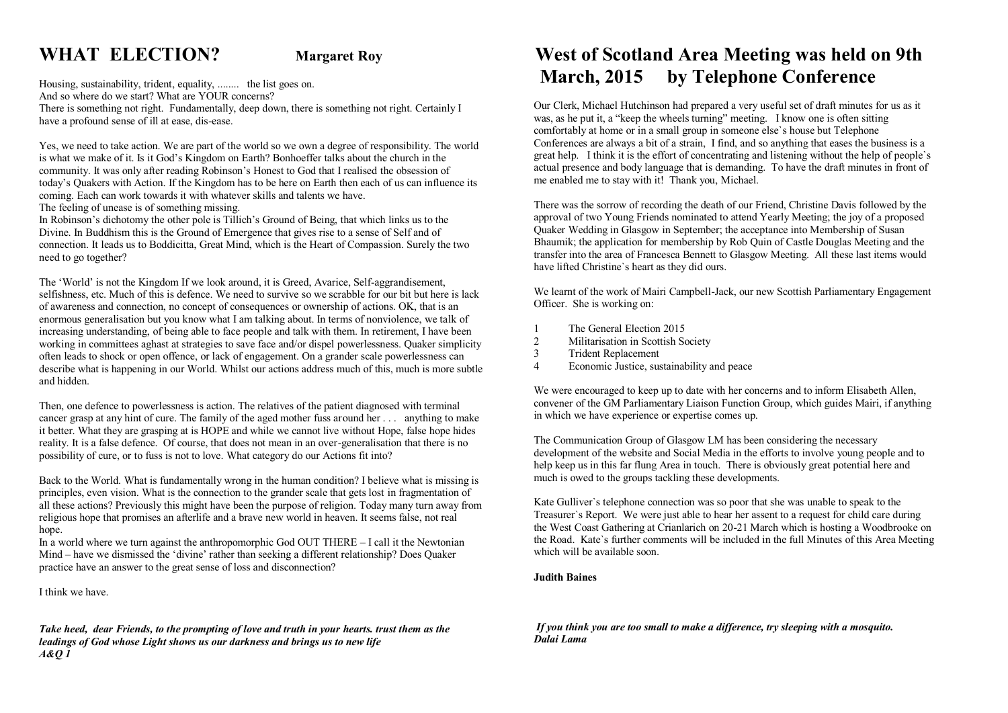# **WHAT ELECTION? Margaret Roy**

Housing, sustainability, trident, equality, ........ the list goes on. And so where do we start? What are YOUR concerns? There is something not right. Fundamentally, deep down, there is something not right. Certainly I have a profound sense of ill at ease, dis-ease.

Yes, we need to take action. We are part of the world so we own a degree of responsibility. The world is what we make of it. Is it God's Kingdom on Earth? Bonhoeffer talks about the church in the community. It was only after reading Robinson's Honest to God that I realised the obsession of today's Quakers with Action. If the Kingdom has to be here on Earth then each of us can influence its coming. Each can work towards it with whatever skills and talents we have.

The feeling of unease is of something missing.

In Robinson's dichotomy the other pole is Tillich's Ground of Being, that which links us to the Divine. In Buddhism this is the Ground of Emergence that gives rise to a sense of Self and of connection. It leads us to Boddicitta, Great Mind, which is the Heart of Compassion. Surely the two need to go together?

The 'World' is not the Kingdom If we look around, it is Greed, Avarice, Self-aggrandisement, selfishness, etc. Much of this is defence. We need to survive so we scrabble for our bit but here is lack of awareness and connection, no concept of consequences or ownership of actions. OK, that is an enormous generalisation but you know what I am talking about. In terms of nonviolence, we talk of increasing understanding, of being able to face people and talk with them. In retirement, I have been working in committees aghast at strategies to save face and/or dispel powerlessness. Quaker simplicity often leads to shock or open offence, or lack of engagement. On a grander scale powerlessness can describe what is happening in our World. Whilst our actions address much of this, much is more subtle and hidden.

Then, one defence to powerlessness is action. The relatives of the patient diagnosed with terminal cancer grasp at any hint of cure. The family of the aged mother fuss around her . . . anything to make it better. What they are grasping at is HOPE and while we cannot live without Hope, false hope hides reality. It is a false defence. Of course, that does not mean in an over-generalisation that there is no possibility of cure, or to fuss is not to love. What category do our Actions fit into?

Back to the World. What is fundamentally wrong in the human condition? I believe what is missing is principles, even vision. What is the connection to the grander scale that gets lost in fragmentation of all these actions? Previously this might have been the purpose of religion. Today many turn away from religious hope that promises an afterlife and a brave new world in heaven. It seems false, not real hope.

In a world where we turn against the anthropomorphic God OUT THERE – I call it the Newtonian Mind – have we dismissed the 'divine' rather than seeking a different relationship? Does Quaker practice have an answer to the great sense of loss and disconnection?

I think we have.

*Take heed, dear Friends, to the prompting of love and truth in your hearts. trust them as the leadings of God whose Light shows us our darkness and brings us to new life A&Q 1*

# **West of Scotland Area Meeting was held on 9th March, 2015 by Telephone Conference**

 Our Clerk, Michael Hutchinson had prepared a very useful set of draft minutes for us as it was, as he put it, a "keep the wheels turning" meeting. I know one is often sitting comfortably at home or in a small group in someone else`s house but Telephone Conferences are always a bit of a strain. I find, and so anything that eases the business is a great help. I think it is the effort of concentrating and listening without the help of people`s actual presence and body language that is demanding. To have the draft minutes in front of me enabled me to stay with it! Thank you, Michael.

 There was the sorrow of recording the death of our Friend, Christine Davis followed by the approval of two Young Friends nominated to attend Yearly Meeting; the joy of a proposed Quaker Wedding in Glasgow in September; the acceptance into Membership of Susan Bhaumik; the application for membership by Rob Quin of Castle Douglas Meeting and the transfer into the area of Francesca Bennett to Glasgow Meeting. All these last items would have lifted Christine`s heart as they did ours.

 We learnt of the work of Mairi Campbell-Jack, our new Scottish Parliamentary Engagement Officer. She is working on:

- 1 The General Election 2015<br>2 Militarisation in Scottish S
- Militarisation in Scottish Society
- 3 Trident Replacement
- 4 Economic Justice, sustainability and peace

 We were encouraged to keep up to date with her concerns and to inform Elisabeth Allen, convener of the GM Parliamentary Liaison Function Group, which guides Mairi, if anything in which we have experience or expertise comes up.

 The Communication Group of Glasgow LM has been considering the necessary development of the website and Social Media in the efforts to involve young people and to help keep us in this far flung Area in touch. There is obviously great potential here and much is owed to the groups tackling these developments.

 Kate Gulliver`s telephone connection was so poor that she was unable to speak to the Treasurer`s Report. We were just able to hear her assent to a request for child care during the West Coast Gathering at Crianlarich on 20-21 March which is hosting a Woodbrooke on the Road. Kate`s further comments will be included in the full Minutes of this Area Meeting which will be available soon.

#### **Judith Baines**

 *If you think you are too small to make a difference, try sleeping with a mosquito. Dalai Lama*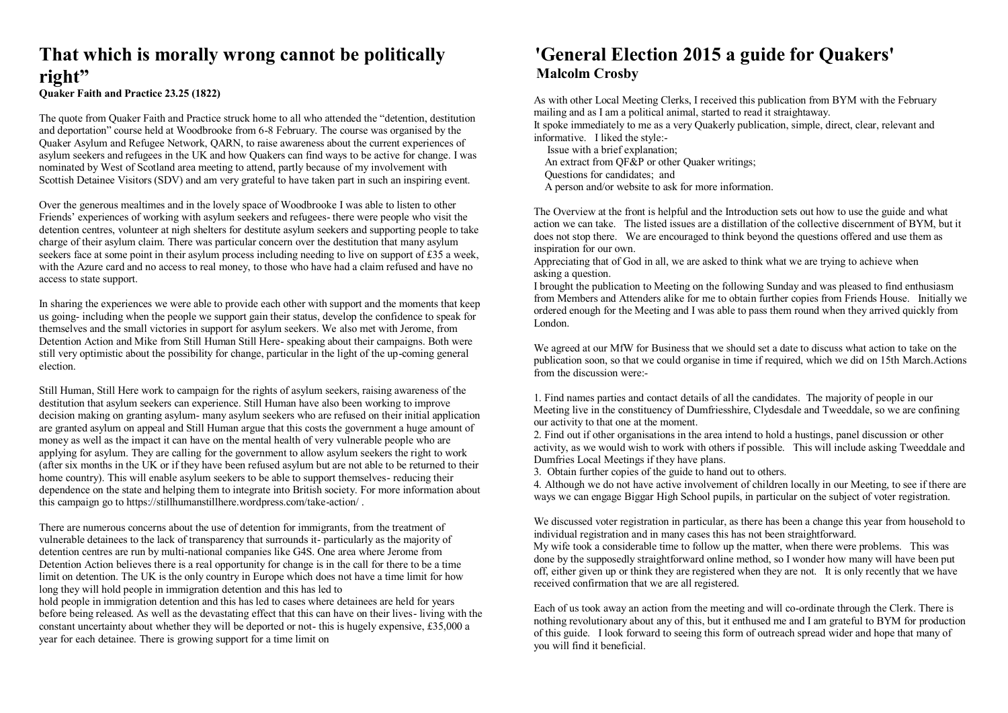### **That which is morally wrong cannot be politically right" Quaker Faith and Practice 23.25 (1822)**

The quote from Quaker Faith and Practice struck home to all who attended the "detention, destitution and deportation" course held at Woodbrooke from 6-8 February. The course was organised by the Quaker Asylum and Refugee Network, QARN, to raise awareness about the current experiences of asylum seekers and refugees in the UK and how Quakers can find ways to be active for change. I was nominated by West of Scotland area meeting to attend, partly because of my involvement with Scottish Detainee Visitors (SDV) and am very grateful to have taken part in such an inspiring event.

Over the generous mealtimes and in the lovely space of Woodbrooke I was able to listen to other Friends' experiences of working with asylum seekers and refugees- there were people who visit the detention centres, volunteer at nigh shelters for destitute asylum seekers and supporting people to take charge of their asylum claim. There was particular concern over the destitution that many asylum seekers face at some point in their asylum process including needing to live on support of £35 a week, with the Azure card and no access to real money, to those who have had a claim refused and have no access to state support.

In sharing the experiences we were able to provide each other with support and the moments that keep us going- including when the people we support gain their status, develop the confidence to speak for themselves and the small victories in support for asylum seekers. We also met with Jerome, from Detention Action and Mike from Still Human Still Here- speaking about their campaigns. Both were still very optimistic about the possibility for change, particular in the light of the up-coming general election.

Still Human, Still Here work to campaign for the rights of asylum seekers, raising awareness of the destitution that asylum seekers can experience. Still Human have also been working to improve decision making on granting asylum- many asylum seekers who are refused on their initial application are granted asylum on appeal and Still Human argue that this costs the government a huge amount of money as well as the impact it can have on the mental health of very vulnerable people who are applying for asylum. They are calling for the government to allow asylum seekers the right to work (after six months in the UK or if they have been refused asylum but are not able to be returned to their home country). This will enable asylum seekers to be able to support themselves- reducing their dependence on the state and helping them to integrate into British society. For more information about this campaign go to https://stillhumanstillhere.wordpress.com/take-action/ .

There are numerous concerns about the use of detention for immigrants, from the treatment of vulnerable detainees to the lack of transparency that surrounds it- particularly as the majority of detention centres are run by multi-national companies like G4S. One area where Jerome from Detention Action believes there is a real opportunity for change is in the call for there to be a time limit on detention. The UK is the only country in Europe which does not have a time limit for how long they will hold people in immigration detention and this has led to

hold people in immigration detention and this has led to cases where detainees are held for years before being released. As well as the devastating effect that this can have on their lives- living with the constant uncertainty about whether they will be deported or not- this is hugely expensive, £35,000 a year for each detainee. There is growing support for a time limit on

## **'General Election 2015 a guide for Quakers' Malcolm Crosby**

 As with other Local Meeting Clerks, I received this publication from BYM with the February mailing and as I am a political animal, started to read it straightaway.

 It spoke immediately to me as a very Quakerly publication, simple, direct, clear, relevant and informative. I liked the style:-

 Issue with a brief explanation; An extract from  $OF&P$  or other Quaker writings; Questions for candidates; and

A person and/or website to ask for more information.

 The Overview at the front is helpful and the Introduction sets out how to use the guide and what action we can take. The listed issues are a distillation of the collective discernment of BYM, but it does not stop there. We are encouraged to think beyond the questions offered and use them as inspiration for our own.

 Appreciating that of God in all, we are asked to think what we are trying to achieve when asking a question.

 I brought the publication to Meeting on the following Sunday and was pleased to find enthusiasm from Members and Attenders alike for me to obtain further copies from Friends House. Initially we ordered enough for the Meeting and I was able to pass them round when they arrived quickly from London.

 We agreed at our MfW for Business that we should set a date to discuss what action to take on the publication soon, so that we could organise in time if required, which we did on 15th March.Actions from the discussion were:-

 1. Find names parties and contact details of all the candidates. The majority of people in our Meeting live in the constituency of Dumfriesshire, Clydesdale and Tweeddale, so we are confining our activity to that one at the moment.

 2. Find out if other organisations in the area intend to hold a hustings, panel discussion or other activity, as we would wish to work with others if possible. This will include asking Tweeddale and Dumfries Local Meetings if they have plans.

3. Obtain further copies of the guide to hand out to others.

 4. Although we do not have active involvement of children locally in our Meeting, to see if there are ways we can engage Biggar High School pupils, in particular on the subject of voter registration.

 We discussed voter registration in particular, as there has been a change this year from household to individual registration and in many cases this has not been straightforward.

 My wife took a considerable time to follow up the matter, when there were problems. This was done by the supposedly straightforward online method, so I wonder how many will have been put off, either given up or think they are registered when they are not. It is only recently that we have received confirmation that we are all registered.

 Each of us took away an action from the meeting and will co-ordinate through the Clerk. There is nothing revolutionary about any of this, but it enthused me and I am grateful to BYM for production of this guide. I look forward to seeing this form of outreach spread wider and hope that many of you will find it beneficial.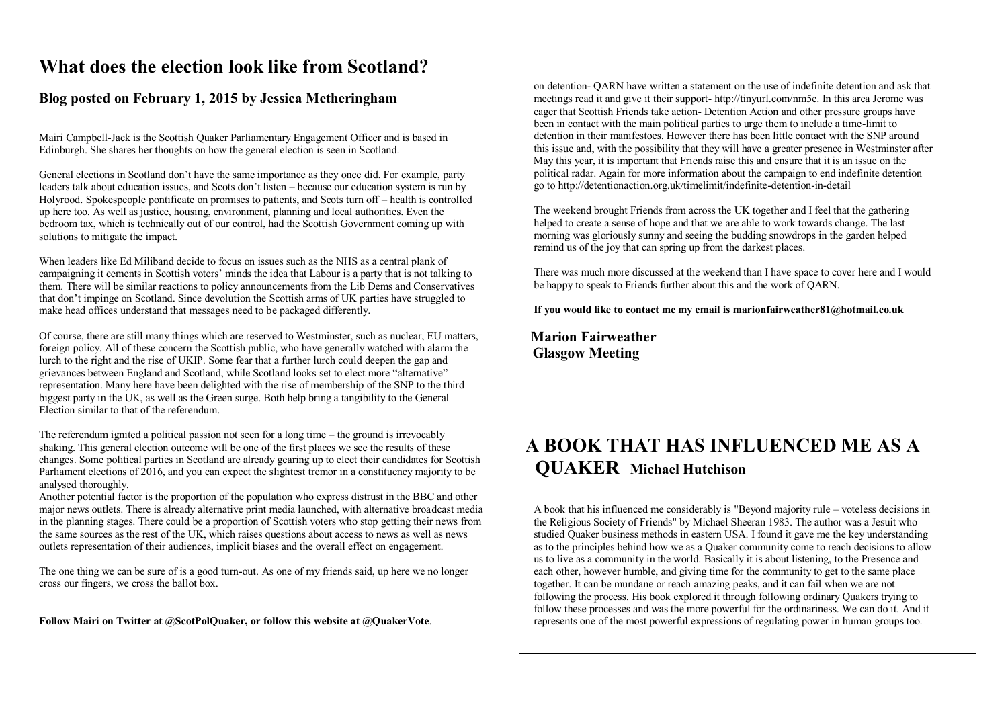# **What does the election look like from Scotland?**

#### **Blog posted on February 1, 2015 by Jessica Metheringham**

Mairi Campbell-Jack is the Scottish Quaker Parliamentary Engagement Officer and is based in Edinburgh. She shares her thoughts on how the general election is seen in Scotland.

General elections in Scotland don't have the same importance as they once did. For example, party leaders talk about education issues, and Scots don't listen – because our education system is run by Holyrood. Spokespeople pontificate on promises to patients, and Scots turn off – health is controlled up here too. As well as justice, housing, environment, planning and local authorities. Even the bedroom tax, which is technically out of our control, had the Scottish Government coming up with solutions to mitigate the impact.

When leaders like Ed Miliband decide to focus on issues such as the NHS as a central plank of campaigning it cements in Scottish voters' minds the idea that Labour is a party that is not talking to them. There will be similar reactions to policy announcements from the Lib Dems and Conservatives that don't impinge on Scotland. Since devolution the Scottish arms of UK parties have struggled to make head offices understand that messages need to be packaged differently.

Of course, there are still many things which are reserved to Westminster, such as nuclear, EU matters, foreign policy. All of these concern the Scottish public, who have generally watched with alarm the lurch to the right and the rise of UKIP. Some fear that a further lurch could deepen the gap and grievances between England and Scotland, while Scotland looks set to elect more "alternative" representation. Many here have been delighted with the rise of membership of the SNP to the third biggest party in the UK, as well as the Green surge. Both help bring a tangibility to the General Election similar to that of the referendum.

The referendum ignited a political passion not seen for a long time – the ground is irrevocably shaking. This general election outcome will be one of the first places we see the results of these changes. Some political parties in Scotland are already gearing up to elect their candidates for Scottish Parliament elections of 2016, and you can expect the slightest tremor in a constituency majority to be analysed thoroughly.

Another potential factor is the proportion of the population who express distrust in the BBC and other major news outlets. There is already alternative print media launched, with alternative broadcast media in the planning stages. There could be a proportion of Scottish voters who stop getting their news from the same sources as the rest of the UK, which raises questions about access to news as well as news outlets representation of their audiences, implicit biases and the overall effect on engagement.

The one thing we can be sure of is a good turn-out. As one of my friends said, up here we no longer cross our fingers, we cross the ballot box.

**Follow Mairi on Twitter at @ScotPolQuaker, or follow this website at @QuakerVote**.

 on detention- QARN have written a statement on the use of indefinite detention and ask that meetings read it and give it their support- http://tinyurl.com/nm5e. In this area Jerome was eager that Scottish Friends take action- Detention Action and other pressure groups have been in contact with the main political parties to urge them to include a time-limit to detention in their manifestoes. However there has been little contact with the SNP around this issue and, with the possibility that they will have a greater presence in Westminster after May this year, it is important that Friends raise this and ensure that it is an issue on the political radar. Again for more information about the campaign to end indefinite detention go to http://detentionaction.org.uk/timelimit/indefinite-detention-in-detail

 The weekend brought Friends from across the UK together and I feel that the gathering helped to create a sense of hope and that we are able to work towards change. The last morning was gloriously sunny and seeing the budding snowdrops in the garden helped remind us of the joy that can spring up from the darkest places.

 There was much more discussed at the weekend than I have space to cover here and I would be happy to speak to Friends further about this and the work of OARN.

 **If you would like to contact me my email is marionfairweather81@hotmail.co.uk**

 **Marion Fairweather Glasgow Meeting**

# **A BOOK THAT HAS INFLUENCED ME AS A QUAKER Michael Hutchison**

 A book that his influenced me considerably is "Beyond majority rule – voteless decisions in the Religious Society of Friends" by Michael Sheeran 1983. The author was a Jesuit who studied Quaker business methods in eastern USA. I found it gave me the key understanding as to the principles behind how we as a Quaker community come to reach decisions to allow us to live as a community in the world. Basically it is about listening, to the Presence and each other, however humble, and giving time for the community to get to the same place together. It can be mundane or reach amazing peaks, and it can fail when we are not following the process. His book explored it through following ordinary Quakers trying to follow these processes and was the more powerful for the ordinariness. We can do it. And it represents one of the most powerful expressions of regulating power in human groups too.